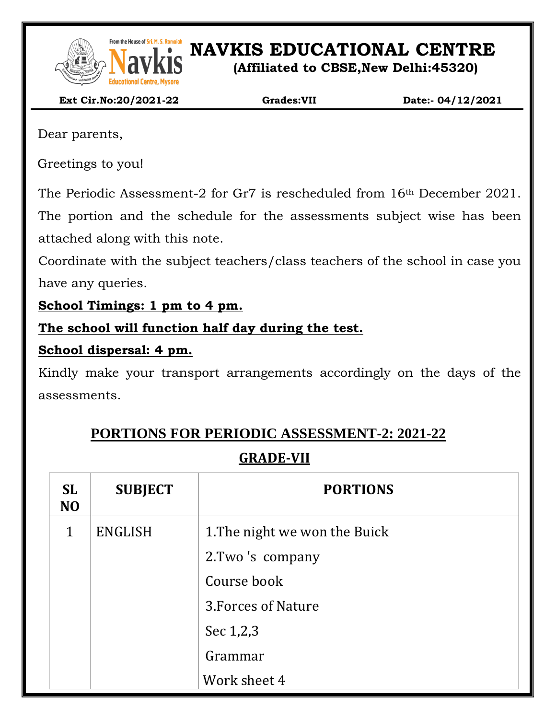

From the House of Sri. M. S. Ramaidah<br>**NAVEL SONG PRESENT IN S. Ramaidah**<br>**NAVEL SONG PRESENT IN SONG PRESENT IN SONG PRESENT IN SONG PRESENT IN SONG PRESENT IN SONG PRESENT IN SONG PRESENT** 

**(Affiliated to CBSE,New Delhi:45320)**

 **Ext Cir.No:20/2021-22 Grades:VII Date:- 04/12/2021**

Dear parents,

Greetings to you!

The Periodic Assessment-2 for Gr7 is rescheduled from 16th December 2021. The portion and the schedule for the assessments subject wise has been attached along with this note.

Coordinate with the subject teachers/class teachers of the school in case you have any queries.

**School Timings: 1 pm to 4 pm.**

**The school will function half day during the test.**

#### **School dispersal: 4 pm.**

Kindly make your transport arrangements accordingly on the days of the assessments.

# **PORTIONS FOR PERIODIC ASSESSMENT-2: 2021-22**

## **GRADE-VII**

| <b>SL</b><br>N <sub>O</sub> | <b>SUBJECT</b> | <b>PORTIONS</b>               |  |
|-----------------------------|----------------|-------------------------------|--|
| $\mathbf{1}$                | <b>ENGLISH</b> | 1. The night we won the Buick |  |
|                             |                | 2. Two's company              |  |
|                             |                | Course book                   |  |
|                             |                | 3. Forces of Nature           |  |
|                             |                | Sec 1,2,3                     |  |
|                             |                | Grammar                       |  |
|                             |                | Work sheet 4                  |  |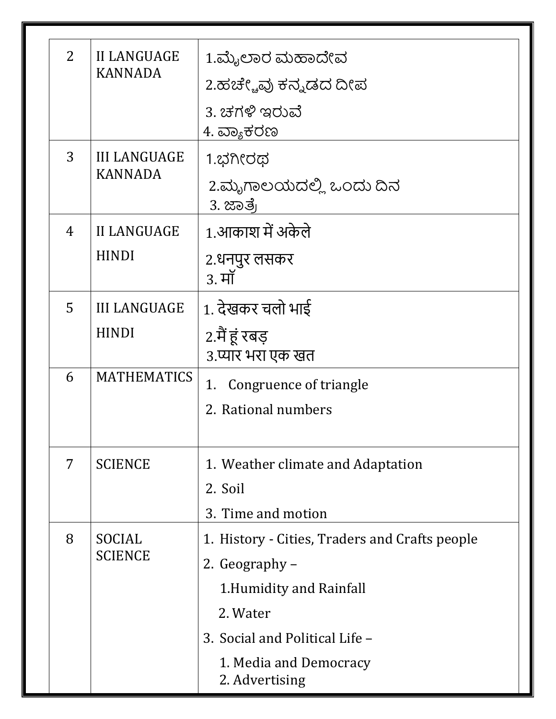| $\overline{2}$ | <b>II LANGUAGE</b><br><b>KANNADA</b>  | 1.ಮೈಲಾರ ಮಹಾದೇವ<br>2.ಹಚೇ್ಚವು ಕನ್ನಡದ ದೀಪ<br>3. ಚಗಳಿ ಇರುವೆ |  |
|----------------|---------------------------------------|---------------------------------------------------------|--|
|                |                                       | 4. ವ್ಯಾಕರಣ                                              |  |
| 3              | <b>III LANGUAGE</b><br><b>KANNADA</b> | 1.ಭಗೀರಥ                                                 |  |
|                |                                       | 2.ಮೃಗಾಲಯದಲ್ಲಿ ಒಂದು ದಿನ<br>3. ಜಾತ್ರೆ                     |  |
| 4              | <b>II LANGUAGE</b>                    | 1.आकाश में अकेले                                        |  |
|                | <b>HINDI</b>                          | 2.धनपुर लसकर<br>3. मॉ                                   |  |
| 5              | <b>III LANGUAGE</b>                   | 1. देखकर चलो भाई                                        |  |
|                | <b>HINDI</b>                          | 2.मैं हूं रबड़<br>3.प्यार भरा एक खत                     |  |
| 6              | <b>MATHEMATICS</b>                    | Congruence of triangle<br>1.                            |  |
|                |                                       | 2. Rational numbers                                     |  |
| 7              | <b>SCIENCE</b>                        | 1. Weather climate and Adaptation<br>2. Soil            |  |
|                |                                       | 3. Time and motion                                      |  |
| 8              | SOCIAL<br><b>SCIENCE</b>              | 1. History - Cities, Traders and Crafts people          |  |
|                |                                       | 2. Geography –                                          |  |
|                |                                       | 1. Humidity and Rainfall                                |  |
|                |                                       | 2. Water                                                |  |
|                |                                       | 3. Social and Political Life -                          |  |
|                |                                       | 1. Media and Democracy<br>2. Advertising                |  |